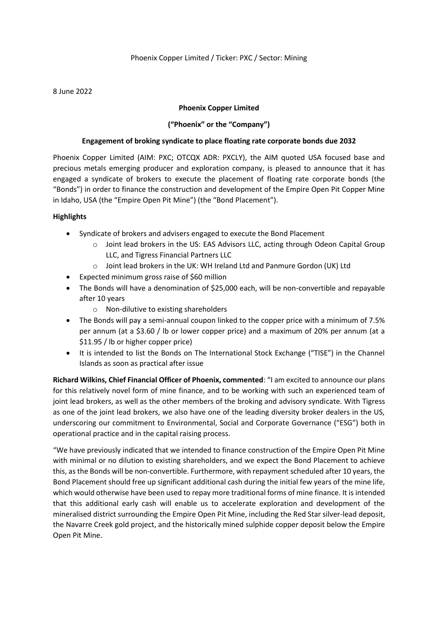#### 8 June 2022

### **Phoenix Copper Limited**

### **("Phoenix" or the "Company")**

#### **Engagement of broking syndicate to place floating rate corporate bonds due 2032**

Phoenix Copper Limited (AIM: PXC; OTCQX ADR: PXCLY), the AIM quoted USA focused base and precious metals emerging producer and exploration company, is pleased to announce that it has engaged a syndicate of brokers to execute the placement of floating rate corporate bonds (the "Bonds") in order to finance the construction and development of the Empire Open Pit Copper Mine in Idaho, USA (the "Empire Open Pit Mine") (the "Bond Placement").

### **Highlights**

- Syndicate of brokers and advisers engaged to execute the Bond Placement
	- o Joint lead brokers in the US: EAS Advisors LLC, acting through Odeon Capital Group LLC, and Tigress Financial Partners LLC
	- o Joint lead brokers in the UK: WH Ireland Ltd and Panmure Gordon (UK) Ltd
- Expected minimum gross raise of \$60 million
- The Bonds will have a denomination of \$25,000 each, will be non-convertible and repayable after 10 years
	- o Non-dilutive to existing shareholders
- The Bonds will pay a semi-annual coupon linked to the copper price with a minimum of 7.5% per annum (at a \$3.60 / lb or lower copper price) and a maximum of 20% per annum (at a \$11.95 / lb or higher copper price)
- It is intended to list the Bonds on The International Stock Exchange ("TISE") in the Channel Islands as soon as practical after issue

**Richard Wilkins, Chief Financial Officer of Phoenix, commented**: "I am excited to announce our plans for this relatively novel form of mine finance, and to be working with such an experienced team of joint lead brokers, as well as the other members of the broking and advisory syndicate. With Tigress as one of the joint lead brokers, we also have one of the leading diversity broker dealers in the US, underscoring our commitment to Environmental, Social and Corporate Governance ("ESG") both in operational practice and in the capital raising process.

"We have previously indicated that we intended to finance construction of the Empire Open Pit Mine with minimal or no dilution to existing shareholders, and we expect the Bond Placement to achieve this, as the Bonds will be non-convertible. Furthermore, with repayment scheduled after 10 years, the Bond Placement should free up significant additional cash during the initial few years of the mine life, which would otherwise have been used to repay more traditional forms of mine finance. It is intended that this additional early cash will enable us to accelerate exploration and development of the mineralised district surrounding the Empire Open Pit Mine, including the Red Star silver-lead deposit, the Navarre Creek gold project, and the historically mined sulphide copper deposit below the Empire Open Pit Mine.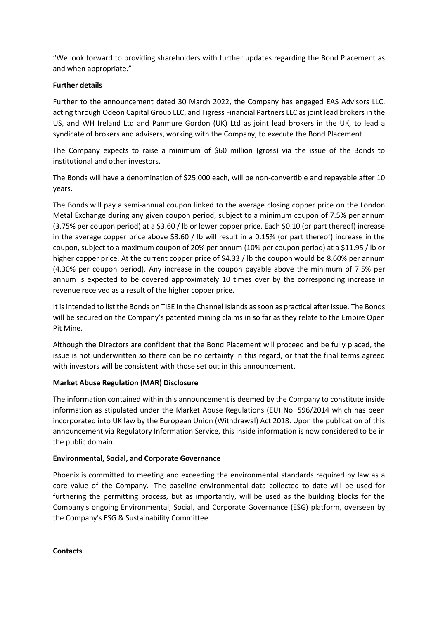"We look forward to providing shareholders with further updates regarding the Bond Placement as and when appropriate."

## **Further details**

Further to the announcement dated 30 March 2022, the Company has engaged EAS Advisors LLC, acting through Odeon Capital Group LLC, and Tigress Financial Partners LLC as joint lead brokers in the US, and WH Ireland Ltd and Panmure Gordon (UK) Ltd as joint lead brokers in the UK, to lead a syndicate of brokers and advisers, working with the Company, to execute the Bond Placement.

The Company expects to raise a minimum of \$60 million (gross) via the issue of the Bonds to institutional and other investors.

The Bonds will have a denomination of \$25,000 each, will be non-convertible and repayable after 10 years.

The Bonds will pay a semi-annual coupon linked to the average closing copper price on the London Metal Exchange during any given coupon period, subject to a minimum coupon of 7.5% per annum (3.75% per coupon period) at a \$3.60 / lb or lower copper price. Each \$0.10 (or part thereof) increase in the average copper price above \$3.60 / lb will result in a 0.15% (or part thereof) increase in the coupon, subject to a maximum coupon of 20% per annum (10% per coupon period) at a \$11.95 / lb or higher copper price. At the current copper price of \$4.33 / lb the coupon would be 8.60% per annum (4.30% per coupon period). Any increase in the coupon payable above the minimum of 7.5% per annum is expected to be covered approximately 10 times over by the corresponding increase in revenue received as a result of the higher copper price.

It is intended to list the Bonds on TISE in the Channel Islands as soon as practical after issue. The Bonds will be secured on the Company's patented mining claims in so far as they relate to the Empire Open Pit Mine.

Although the Directors are confident that the Bond Placement will proceed and be fully placed, the issue is not underwritten so there can be no certainty in this regard, or that the final terms agreed with investors will be consistent with those set out in this announcement.

# **Market Abuse Regulation (MAR) Disclosure**

The information contained within this announcement is deemed by the Company to constitute inside information as stipulated under the Market Abuse Regulations (EU) No. 596/2014 which has been incorporated into UK law by the European Union (Withdrawal) Act 2018. Upon the publication of this announcement via Regulatory Information Service, this inside information is now considered to be in the public domain.

# **Environmental, Social, and Corporate Governance**

Phoenix is committed to meeting and exceeding the environmental standards required by law as a core value of the Company. The baseline environmental data collected to date will be used for furthering the permitting process, but as importantly, will be used as the building blocks for the Company's ongoing Environmental, Social, and Corporate Governance (ESG) platform, overseen by the Company's ESG & Sustainability Committee.

**Contacts**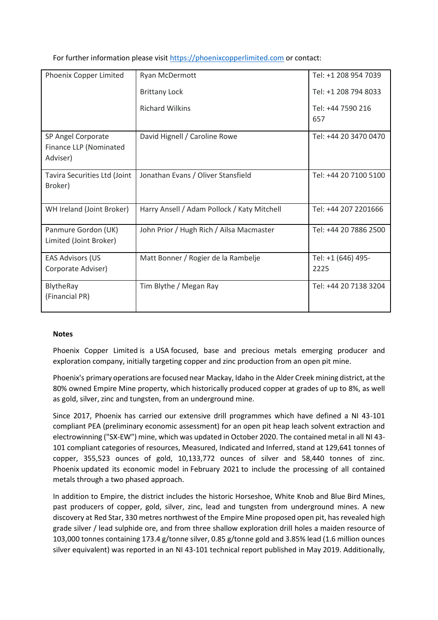For further information please visit [https://phoenixcopperlimited.com](https://phoenixcopperlimited.com/) or contact:

| Phoenix Copper Limited                                   | Ryan McDermott                              | Tel: +1 208 954 7039       |
|----------------------------------------------------------|---------------------------------------------|----------------------------|
|                                                          | <b>Brittany Lock</b>                        | Tel: +1 208 794 8033       |
|                                                          | <b>Richard Wilkins</b>                      | Tel: +44 7590 216<br>657   |
| SP Angel Corporate<br>Finance LLP (Nominated<br>Adviser) | David Hignell / Caroline Rowe               | Tel: +44 20 3470 0470      |
| Tavira Securities Ltd (Joint<br>Broker)                  | Jonathan Evans / Oliver Stansfield          | Tel: +44 20 7100 5100      |
| WH Ireland (Joint Broker)                                | Harry Ansell / Adam Pollock / Katy Mitchell | Tel: +44 207 2201666       |
| Panmure Gordon (UK)<br>Limited (Joint Broker)            | John Prior / Hugh Rich / Ailsa Macmaster    | Tel: +44 20 7886 2500      |
| <b>EAS Advisors (US</b><br>Corporate Adviser)            | Matt Bonner / Rogier de la Rambelje         | Tel: +1 (646) 495-<br>2225 |
| <b>BlytheRay</b><br>(Financial PR)                       | Tim Blythe / Megan Ray                      | Tel: +44 20 7138 3204      |

#### **Notes**

Phoenix Copper Limited is a USA focused, base and precious metals emerging producer and exploration company, initially targeting copper and zinc production from an open pit mine.

Phoenix's primary operations are focused near Mackay, Idaho in the Alder Creek mining district, at the 80% owned Empire Mine property, which historically produced copper at grades of up to 8%, as well as gold, silver, zinc and tungsten, from an underground mine.

Since 2017, Phoenix has carried our extensive drill programmes which have defined a NI 43-101 compliant PEA (preliminary economic assessment) for an open pit heap leach solvent extraction and electrowinning ("SX-EW") mine, which was updated in October 2020. The contained metal in all NI 43- 101 compliant categories of resources, Measured, Indicated and Inferred, stand at 129,641 tonnes of copper, 355,523 ounces of gold, 10,133,772 ounces of silver and 58,440 tonnes of zinc. Phoenix updated its economic model in February 2021 to include the processing of all contained metals through a two phased approach.

In addition to Empire, the district includes the historic Horseshoe, White Knob and Blue Bird Mines, past producers of copper, gold, silver, zinc, lead and tungsten from underground mines. A new discovery at Red Star, 330 metres northwest of the Empire Mine proposed open pit, has revealed high grade silver / lead sulphide ore, and from three shallow exploration drill holes a maiden resource of 103,000 tonnes containing 173.4 g/tonne silver, 0.85 g/tonne gold and 3.85% lead (1.6 million ounces silver equivalent) was reported in an NI 43-101 technical report published in May 2019. Additionally,